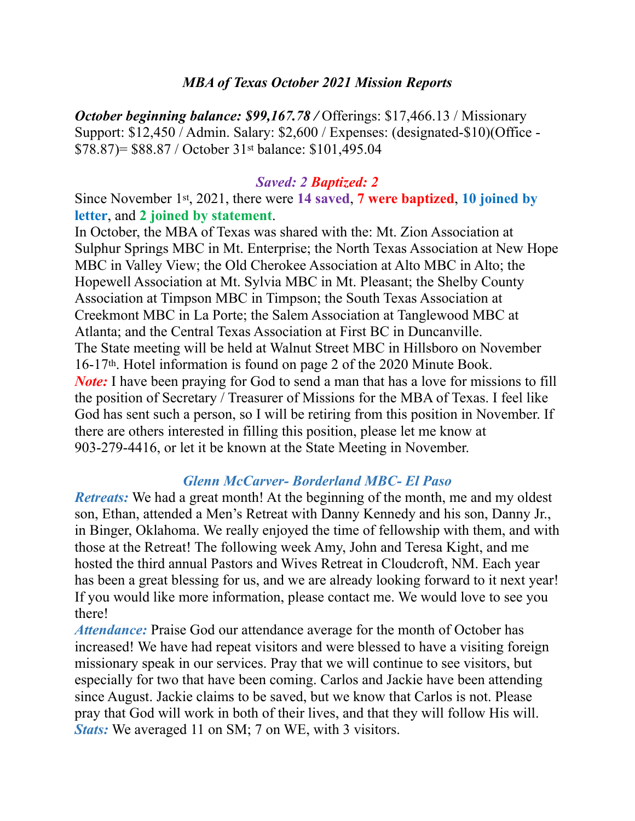#### *MBA of Texas October 2021 Mission Reports*

*October beginning balance: \$99,167.78 /* Offerings: \$17,466.13 / Missionary Support: \$12,450 / Admin. Salary: \$2,600 / Expenses: (designated-\$10)(Office - \$78.87)= \$88.87 / October 31st balance: \$101,495.04

#### *Saved: 2 Baptized: 2*

Since November 1st, 2021, there were **14 saved**, **7 were baptized**, **10 joined by letter**, and **2 joined by statement**.

In October, the MBA of Texas was shared with the: Mt. Zion Association at Sulphur Springs MBC in Mt. Enterprise; the North Texas Association at New Hope MBC in Valley View; the Old Cherokee Association at Alto MBC in Alto; the Hopewell Association at Mt. Sylvia MBC in Mt. Pleasant; the Shelby County Association at Timpson MBC in Timpson; the South Texas Association at Creekmont MBC in La Porte; the Salem Association at Tanglewood MBC at Atlanta; and the Central Texas Association at First BC in Duncanville. The State meeting will be held at Walnut Street MBC in Hillsboro on November 16-17th. Hotel information is found on page 2 of the 2020 Minute Book. *Note:* I have been praying for God to send a man that has a love for missions to fill the position of Secretary / Treasurer of Missions for the MBA of Texas. I feel like God has sent such a person, so I will be retiring from this position in November. If there are others interested in filling this position, please let me know at 903-279-4416, or let it be known at the State Meeting in November.

#### *Glenn McCarver- Borderland MBC- El Paso*

*Retreats:* We had a great month! At the beginning of the month, me and my oldest son, Ethan, attended a Men's Retreat with Danny Kennedy and his son, Danny Jr., in Binger, Oklahoma. We really enjoyed the time of fellowship with them, and with those at the Retreat! The following week Amy, John and Teresa Kight, and me hosted the third annual Pastors and Wives Retreat in Cloudcroft, NM. Each year has been a great blessing for us, and we are already looking forward to it next year! If you would like more information, please contact me. We would love to see you there!

*Attendance:* Praise God our attendance average for the month of October has increased! We have had repeat visitors and were blessed to have a visiting foreign missionary speak in our services. Pray that we will continue to see visitors, but especially for two that have been coming. Carlos and Jackie have been attending since August. Jackie claims to be saved, but we know that Carlos is not. Please pray that God will work in both of their lives, and that they will follow His will. *Stats:* We averaged 11 on SM; 7 on WE, with 3 visitors.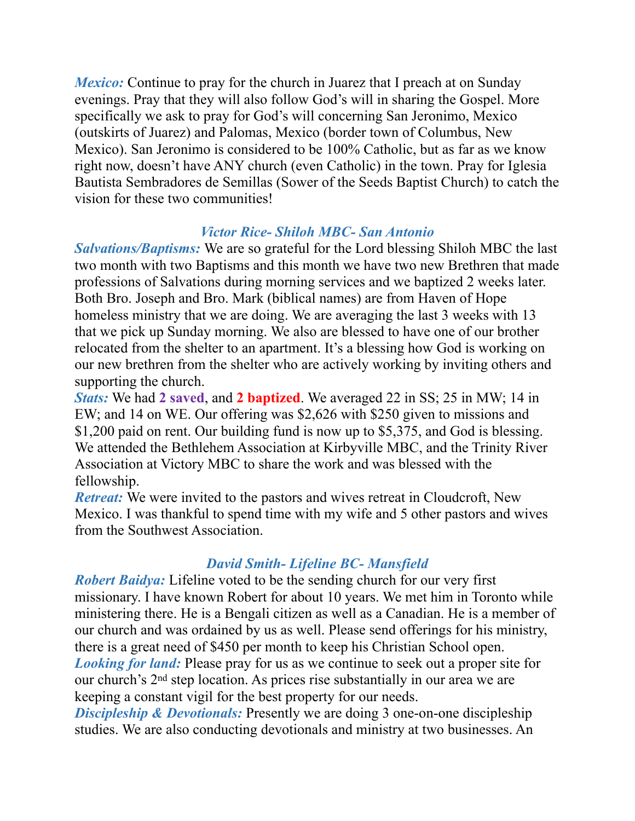*Mexico:* Continue to pray for the church in Juarez that I preach at on Sunday evenings. Pray that they will also follow God's will in sharing the Gospel. More specifically we ask to pray for God's will concerning San Jeronimo, Mexico (outskirts of Juarez) and Palomas, Mexico (border town of Columbus, New Mexico). San Jeronimo is considered to be 100% Catholic, but as far as we know right now, doesn't have ANY church (even Catholic) in the town. Pray for Iglesia Bautista Sembradores de Semillas (Sower of the Seeds Baptist Church) to catch the vision for these two communities!

## *Victor Rice- Shiloh MBC- San Antonio*

*Salvations/Baptisms:* We are so grateful for the Lord blessing Shiloh MBC the last two month with two Baptisms and this month we have two new Brethren that made professions of Salvations during morning services and we baptized 2 weeks later. Both Bro. Joseph and Bro. Mark (biblical names) are from Haven of Hope homeless ministry that we are doing. We are averaging the last 3 weeks with 13 that we pick up Sunday morning. We also are blessed to have one of our brother relocated from the shelter to an apartment. It's a blessing how God is working on our new brethren from the shelter who are actively working by inviting others and supporting the church.

*Stats:* We had **2 saved**, and **2 baptized**. We averaged 22 in SS; 25 in MW; 14 in EW; and 14 on WE. Our offering was \$2,626 with \$250 given to missions and \$1,200 paid on rent. Our building fund is now up to \$5,375, and God is blessing. We attended the Bethlehem Association at Kirbyville MBC, and the Trinity River Association at Victory MBC to share the work and was blessed with the fellowship.

*Retreat:* We were invited to the pastors and wives retreat in Cloudcroft, New Mexico. I was thankful to spend time with my wife and 5 other pastors and wives from the Southwest Association.

# *David Smith- Lifeline BC- Mansfield*

*Robert Baidya:* Lifeline voted to be the sending church for our very first missionary. I have known Robert for about 10 years. We met him in Toronto while ministering there. He is a Bengali citizen as well as a Canadian. He is a member of our church and was ordained by us as well. Please send offerings for his ministry, there is a great need of \$450 per month to keep his Christian School open. *Looking for land:* Please pray for us as we continue to seek out a proper site for our church's 2nd step location. As prices rise substantially in our area we are keeping a constant vigil for the best property for our needs.

*Discipleship & Devotionals:* Presently we are doing 3 one-on-one discipleship studies. We are also conducting devotionals and ministry at two businesses. An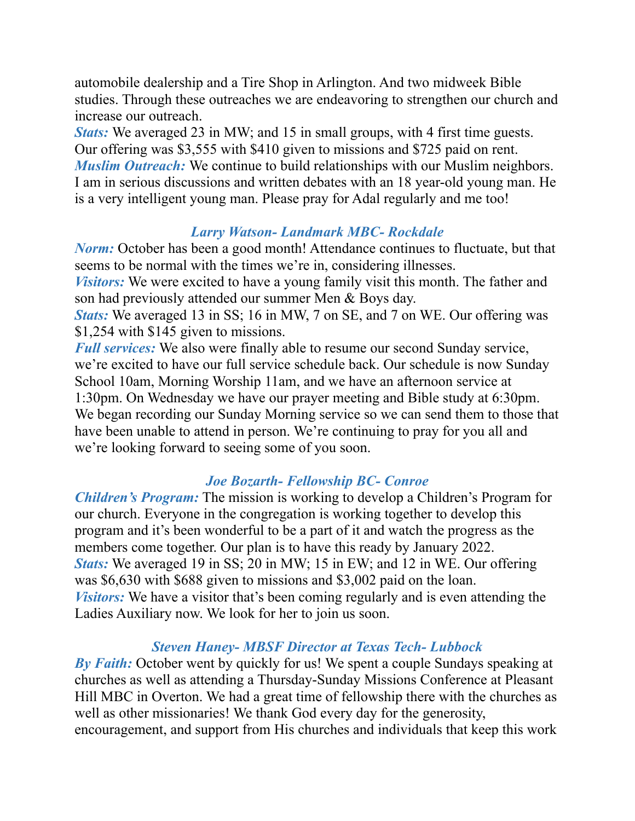automobile dealership and a Tire Shop in Arlington. And two midweek Bible studies. Through these outreaches we are endeavoring to strengthen our church and increase our outreach.

*Stats:* We averaged 23 in MW; and 15 in small groups, with 4 first time guests. Our offering was \$3,555 with \$410 given to missions and \$725 paid on rent. *Muslim Outreach:* We continue to build relationships with our Muslim neighbors. I am in serious discussions and written debates with an 18 year-old young man. He is a very intelligent young man. Please pray for Adal regularly and me too!

## *Larry Watson- Landmark MBC- Rockdale*

*Norm:* October has been a good month! Attendance continues to fluctuate, but that seems to be normal with the times we're in, considering illnesses.

*Visitors:* We were excited to have a young family visit this month. The father and son had previously attended our summer Men & Boys day.

*Stats:* We averaged 13 in SS; 16 in MW, 7 on SE, and 7 on WE. Our offering was \$1,254 with \$145 given to missions.

*Full services:* We also were finally able to resume our second Sunday service, we're excited to have our full service schedule back. Our schedule is now Sunday School 10am, Morning Worship 11am, and we have an afternoon service at 1:30pm. On Wednesday we have our prayer meeting and Bible study at 6:30pm. We began recording our Sunday Morning service so we can send them to those that have been unable to attend in person. We're continuing to pray for you all and we're looking forward to seeing some of you soon.

# *Joe Bozarth- Fellowship BC- Conroe*

*Children's Program:* The mission is working to develop a Children's Program for our church. Everyone in the congregation is working together to develop this program and it's been wonderful to be a part of it and watch the progress as the members come together. Our plan is to have this ready by January 2022. *Stats:* We averaged 19 in SS; 20 in MW; 15 in EW; and 12 in WE. Our offering was \$6,630 with \$688 given to missions and \$3,002 paid on the loan. *Visitors:* We have a visitor that's been coming regularly and is even attending the Ladies Auxiliary now. We look for her to join us soon.

# *Steven Haney- MBSF Director at Texas Tech- Lubbock*

*By Faith:* October went by quickly for us! We spent a couple Sundays speaking at churches as well as attending a Thursday-Sunday Missions Conference at Pleasant Hill MBC in Overton. We had a great time of fellowship there with the churches as well as other missionaries! We thank God every day for the generosity, encouragement, and support from His churches and individuals that keep this work